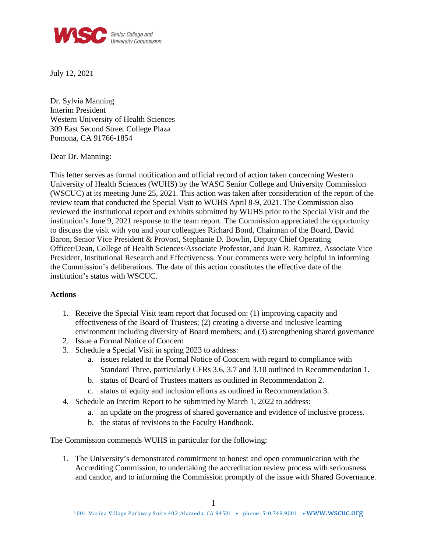

July 12, 2021

Dr. Sylvia Manning Interim President Western University of Health Sciences 309 East Second Street College Plaza Pomona, CA 91766-1854

Dear Dr. Manning:

This letter serves as formal notification and official record of action taken concerning Western University of Health Sciences (WUHS) by the WASC Senior College and University Commission (WSCUC) at its meeting June 25, 2021. This action was taken after consideration of the report of the review team that conducted the Special Visit to WUHS April 8-9, 2021. The Commission also reviewed the institutional report and exhibits submitted by WUHS prior to the Special Visit and the institution's June 9, 2021 response to the team report. The Commission appreciated the opportunity to discuss the visit with you and your colleagues Richard Bond, Chairman of the Board, David Baron, Senior Vice President & Provost, Stephanie D. Bowlin, Deputy Chief Operating Officer/Dean, College of Health Sciences/Associate Professor, and Juan R. Ramirez, Associate Vice President, Institutional Research and Effectiveness. Your comments were very helpful in informing the Commission's deliberations. The date of this action constitutes the effective date of the institution's status with WSCUC.

## **Actions**

- 1. Receive the Special Visit team report that focused on: (1) improving capacity and effectiveness of the Board of Trustees; (2) creating a diverse and inclusive learning environment including diversity of Board members; and (3) strengthening shared governance
- 2. Issue a Formal Notice of Concern
- 3. Schedule a Special Visit in spring 2023 to address:
	- a. issues related to the Formal Notice of Concern with regard to compliance with Standard Three, particularly CFRs 3.6, 3.7 and 3.10 outlined in Recommendation 1.
	- b. status of Board of Trustees matters as outlined in Recommendation 2.
	- c. status of equity and inclusion efforts as outlined in Recommendation 3.
- 4. Schedule an Interim Report to be submitted by March 1, 2022 to address:
	- a. an update on the progress of shared governance and evidence of inclusive process.
	- b. the status of revisions to the Faculty Handbook.

The Commission commends WUHS in particular for the following:

1. The University's demonstrated commitment to honest and open communication with the Accrediting Commission, to undertaking the accreditation review process with seriousness and candor, and to informing the Commission promptly of the issue with Shared Governance.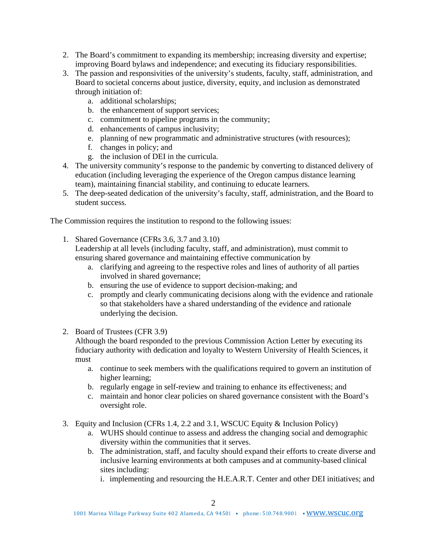- 2. The Board's commitment to expanding its membership; increasing diversity and expertise; improving Board bylaws and independence; and executing its fiduciary responsibilities.
- 3. The passion and responsivities of the university's students, faculty, staff, administration, and Board to societal concerns about justice, diversity, equity, and inclusion as demonstrated through initiation of:
	- a. additional scholarships;
	- b. the enhancement of support services;
	- c. commitment to pipeline programs in the community;
	- d. enhancements of campus inclusivity;
	- e. planning of new programmatic and administrative structures (with resources);
	- f. changes in policy; and
	- g. the inclusion of DEI in the curricula.
- 4. The university community's response to the pandemic by converting to distanced delivery of education (including leveraging the experience of the Oregon campus distance learning team), maintaining financial stability, and continuing to educate learners.
- 5. The deep-seated dedication of the university's faculty, staff, administration, and the Board to student success.

The Commission requires the institution to respond to the following issues:

- 1. Shared Governance (CFRs 3.6, 3.7 and 3.10) Leadership at all levels (including faculty, staff, and administration), must commit to ensuring shared governance and maintaining effective communication by
	- a. clarifying and agreeing to the respective roles and lines of authority of all parties involved in shared governance;
	- b. ensuring the use of evidence to support decision-making; and
	- c. promptly and clearly communicating decisions along with the evidence and rationale so that stakeholders have a shared understanding of the evidence and rationale underlying the decision.
- 2. Board of Trustees (CFR 3.9)

Although the board responded to the previous Commission Action Letter by executing its fiduciary authority with dedication and loyalty to Western University of Health Sciences, it must

- a. continue to seek members with the qualifications required to govern an institution of higher learning;
- b. regularly engage in self-review and training to enhance its effectiveness; and
- c. maintain and honor clear policies on shared governance consistent with the Board's oversight role.
- 3. Equity and Inclusion (CFRs 1.4, 2.2 and 3.1, WSCUC Equity & Inclusion Policy)
	- a. WUHS should continue to assess and address the changing social and demographic diversity within the communities that it serves.
	- b. The administration, staff, and faculty should expand their efforts to create diverse and inclusive learning environments at both campuses and at community-based clinical sites including:

i. implementing and resourcing the H.E.A.R.T. Center and other DEI initiatives; and